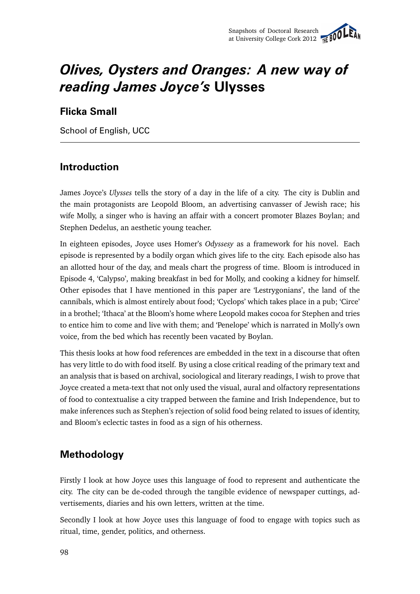# *Olives, Oysters and Oranges: A new way of reading James Joyce's* **Ulysses**

## **Flicka Small**

School of English, UCC

### **Introduction**

James Joyce's *Ulysses* tells the story of a day in the life of a city. The city is Dublin and the main protagonists are Leopold Bloom, an advertising canvasser of Jewish race; his wife Molly, a singer who is having an affair with a concert promoter Blazes Boylan; and Stephen Dedelus, an aesthetic young teacher.

In eighteen episodes, Joyce uses Homer's *Odyssesy* as a framework for his novel. Each episode is represented by a bodily organ which gives life to the city. Each episode also has an allotted hour of the day, and meals chart the progress of time. Bloom is introduced in Episode 4, 'Calypso', making breakfast in bed for Molly, and cooking a kidney for himself. Other episodes that I have mentioned in this paper are 'Lestrygonians', the land of the cannibals, which is almost entirely about food; 'Cyclops' which takes place in a pub; 'Circe' in a brothel; 'Ithaca' at the Bloom's home where Leopold makes cocoa for Stephen and tries to entice him to come and live with them; and 'Penelope' which is narrated in Molly's own voice, from the bed which has recently been vacated by Boylan.

This thesis looks at how food references are embedded in the text in a discourse that often has very little to do with food itself. By using a close critical reading of the primary text and an analysis that is based on archival, sociological and literary readings, I wish to prove that Joyce created a meta-text that not only used the visual, aural and olfactory representations of food to contextualise a city trapped between the famine and Irish Independence, but to make inferences such as Stephen's rejection of solid food being related to issues of identity, and Bloom's eclectic tastes in food as a sign of his otherness.

## **Methodology**

Firstly I look at how Joyce uses this language of food to represent and authenticate the city. The city can be de-coded through the tangible evidence of newspaper cuttings, advertisements, diaries and his own letters, written at the time.

Secondly I look at how Joyce uses this language of food to engage with topics such as ritual, time, gender, politics, and otherness.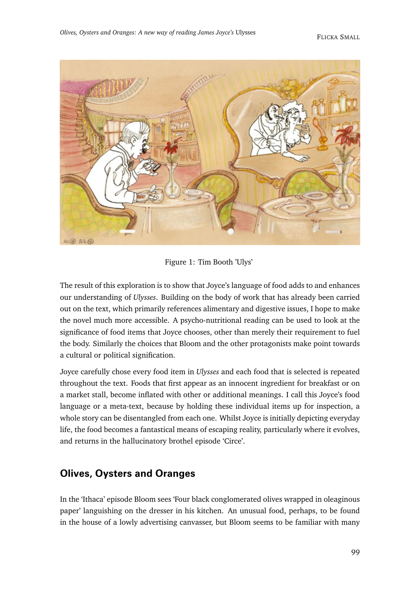

Figure 1: Tim Booth 'Ulys'

The result of this exploration is to show that Joyce's language of food adds to and enhances our understanding of *Ulysses*. Building on the body of work that has already been carried out on the text, which primarily references alimentary and digestive issues, I hope to make the novel much more accessible. A psycho-nutritional reading can be used to look at the significance of food items that Joyce chooses, other than merely their requirement to fuel the body. Similarly the choices that Bloom and the other protagonists make point towards a cultural or political signification.

Joyce carefully chose every food item in *Ulysses* and each food that is selected is repeated throughout the text. Foods that first appear as an innocent ingredient for breakfast or on a market stall, become inflated with other or additional meanings. I call this Joyce's food language or a meta-text, because by holding these individual items up for inspection, a whole story can be disentangled from each one. Whilst Joyce is initially depicting everyday life, the food becomes a fantastical means of escaping reality, particularly where it evolves, and returns in the hallucinatory brothel episode 'Circe'.

#### **Olives, Oysters and Oranges**

In the 'Ithaca' episode Bloom sees 'Four black conglomerated olives wrapped in oleaginous paper' languishing on the dresser in his kitchen. An unusual food, perhaps, to be found in the house of a lowly advertising canvasser, but Bloom seems to be familiar with many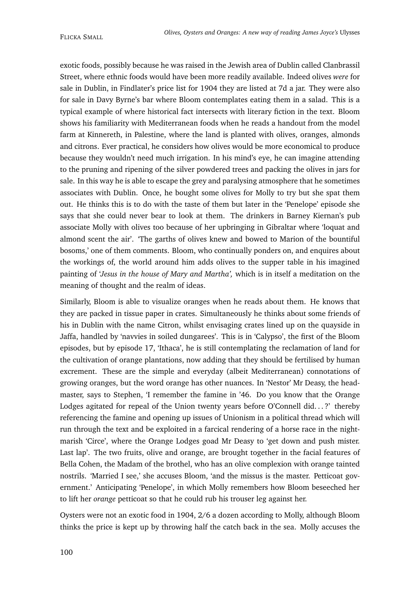exotic foods, possibly because he was raised in the Jewish area of Dublin called Clanbrassil Street, where ethnic foods would have been more readily available. Indeed olives *were* for sale in Dublin, in Findlater's price list for 1904 they are listed at 7d a jar. They were also for sale in Davy Byrne's bar where Bloom contemplates eating them in a salad. This is a typical example of where historical fact intersects with literary fiction in the text. Bloom shows his familiarity with Mediterranean foods when he reads a handout from the model farm at Kinnereth, in Palestine, where the land is planted with olives, oranges, almonds and citrons. Ever practical, he considers how olives would be more economical to produce because they wouldn't need much irrigation. In his mind's eye, he can imagine attending to the pruning and ripening of the silver powdered trees and packing the olives in jars for sale. In this way he is able to escape the grey and paralysing atmosphere that he sometimes associates with Dublin. Once, he bought some olives for Molly to try but she spat them out. He thinks this is to do with the taste of them but later in the 'Penelope' episode she says that she could never bear to look at them. The drinkers in Barney Kiernan's pub associate Molly with olives too because of her upbringing in Gibraltar where 'loquat and almond scent the air'. 'The garths of olives knew and bowed to Marion of the bountiful bosoms,' one of them comments. Bloom, who continually ponders on, and enquires about the workings of, the world around him adds olives to the supper table in his imagined painting of '*Jesus in the house of Mary and Martha',* which is in itself a meditation on the meaning of thought and the realm of ideas.

Similarly, Bloom is able to visualize oranges when he reads about them. He knows that they are packed in tissue paper in crates. Simultaneously he thinks about some friends of his in Dublin with the name Citron, whilst envisaging crates lined up on the quayside in Jaffa, handled by 'navvies in soiled dungarees'. This is in 'Calypso', the first of the Bloom episodes, but by episode 17, 'Ithaca', he is still contemplating the reclamation of land for the cultivation of orange plantations, now adding that they should be fertilised by human excrement. These are the simple and everyday (albeit Mediterranean) connotations of growing oranges, but the word orange has other nuances. In 'Nestor' Mr Deasy, the headmaster, says to Stephen, 'I remember the famine in '46. Do you know that the Orange Lodges agitated for repeal of the Union twenty years before O'Connell did...?' thereby referencing the famine and opening up issues of Unionism in a political thread which will run through the text and be exploited in a farcical rendering of a horse race in the nightmarish 'Circe', where the Orange Lodges goad Mr Deasy to 'get down and push mister. Last lap'. The two fruits, olive and orange, are brought together in the facial features of Bella Cohen, the Madam of the brothel, who has an olive complexion with orange tainted nostrils. 'Married I see,' she accuses Bloom, 'and the missus is the master. Petticoat government.' Anticipating 'Penelope', in which Molly remembers how Bloom beseeched her to lift her *orange* petticoat so that he could rub his trouser leg against her.

Oysters were not an exotic food in 1904, 2/6 a dozen according to Molly, although Bloom thinks the price is kept up by throwing half the catch back in the sea. Molly accuses the